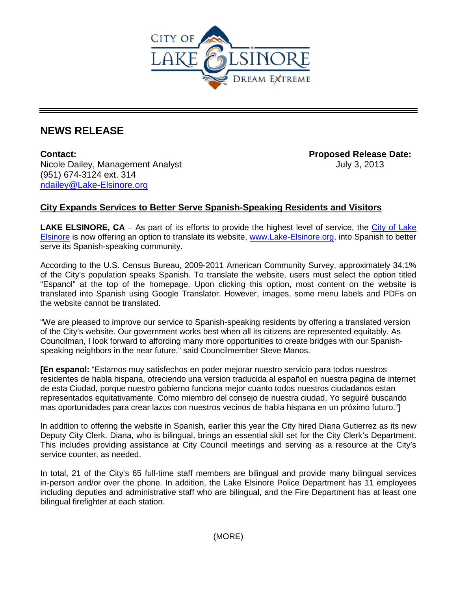

## **NEWS RELEASE**

**Contact: Proposed Release Date:**  Nicole Dailey, Management Analyst July 3, 2013 (951) 674-3124 ext. 314 [ndailey@Lake-Elsinore.org](mailto:ndailey@Lake-Elsinore.org)

## **City Expands Services to Better Serve Spanish-Speaking Residents and Visitors**

**LAKE ELSINORE, CA** – As part of its efforts to provide the highest level of service, the [City of Lake](http://www.lake-elsinore.org/)  [Elsinore](http://www.lake-elsinore.org/) is now offering an option to translate its website, [www.Lake-Elsinore.org,](http://www.lake-elsinore.org/) into Spanish to better serve its Spanish-speaking community.

According to the U.S. Census Bureau, 2009-2011 American Community Survey, approximately 34.1% of the City's population speaks Spanish. To translate the website, users must select the option titled "Espanol" at the top of the homepage. Upon clicking this option, most content on the website is translated into Spanish using Google Translator. However, images, some menu labels and PDFs on the website cannot be translated.

"We are pleased to improve our service to Spanish-speaking residents by offering a translated version of the City's website. Our government works best when all its citizens are represented equitably. As Councilman, I look forward to affording many more opportunities to create bridges with our Spanishspeaking neighbors in the near future," said Councilmember Steve Manos.

**[En espanol:** "Estamos muy satisfechos en poder mejorar nuestro servicio para todos nuestros residentes de habla hispana, ofreciendo una version traducida al español en nuestra pagina de internet de esta Ciudad, porque nuestro gobierno funciona mejor cuanto todos nuestros ciudadanos estan representados equitativamente. Como miembro del consejo de nuestra ciudad, Yo seguiré buscando mas oportunidades para crear lazos con nuestros vecinos de habla hispana en un próximo futuro."]

In addition to offering the website in Spanish, earlier this year the City hired Diana Gutierrez as its new Deputy City Clerk. Diana, who is bilingual, brings an essential skill set for the City Clerk's Department. This includes providing assistance at City Council meetings and serving as a resource at the City's service counter, as needed.

In total, 21 of the City's 65 full-time staff members are bilingual and provide many bilingual services in-person and/or over the phone. In addition, the Lake Elsinore Police Department has 11 employees including deputies and administrative staff who are bilingual, and the Fire Department has at least one bilingual firefighter at each station.